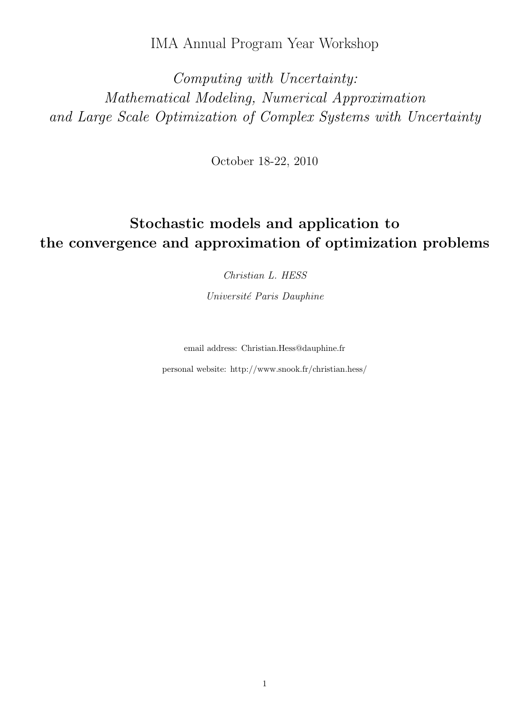IMA Annual Program Year Workshop

Computing with Uncertainty: Mathematical Modeling, Numerical Approximation and Large Scale Optimization of Complex Systems with Uncertainty

October 18-22, 2010

# Stochastic models and application to the convergence and approximation of optimization problems

Christian L. HESS

Université Paris Dauphine

email address: Christian.Hess@dauphine.fr

personal website: http://www.snook.fr/christian.hess/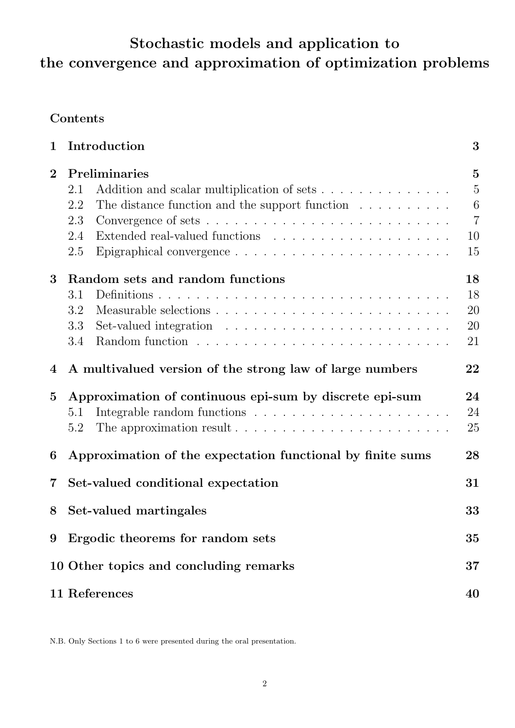# Stochastic models and application to the convergence and approximation of optimization problems

# Contents

| $\mathbf 1$    | Introduction                                                                                                                                                                                                                                             | 3                                                                   |
|----------------|----------------------------------------------------------------------------------------------------------------------------------------------------------------------------------------------------------------------------------------------------------|---------------------------------------------------------------------|
| $\bf{2}$       | Preliminaries<br>Addition and scalar multiplication of sets<br>2.1<br>The distance function and the support function $\dots \dots \dots$<br>2.2<br>2.3<br>2.4<br>2.5<br>Epigraphical convergence $\dots \dots \dots \dots \dots \dots \dots \dots \dots$ | $\overline{5}$<br>$\overline{5}$<br>6<br>$\overline{7}$<br>10<br>15 |
| 3              | Random sets and random functions<br>3.1<br>3.2<br>Set-valued integration $\ldots \ldots \ldots \ldots \ldots \ldots \ldots \ldots$<br>3.3<br>3.4                                                                                                         | 18<br>18<br>20<br>20<br>21                                          |
| $\overline{4}$ | A multivalued version of the strong law of large numbers                                                                                                                                                                                                 | 22                                                                  |
| $\bf{5}$       | Approximation of continuous epi-sum by discrete epi-sum<br>5.1<br>The approximation result $\dots \dots \dots \dots \dots \dots \dots \dots \dots$<br>5.2                                                                                                | 24<br>24<br>25                                                      |
| 6              | Approximation of the expectation functional by finite sums                                                                                                                                                                                               | 28                                                                  |
| $\overline{7}$ | Set-valued conditional expectation                                                                                                                                                                                                                       | 31                                                                  |
| 8              | Set-valued martingales                                                                                                                                                                                                                                   | 33                                                                  |
| 9              | Ergodic theorems for random sets                                                                                                                                                                                                                         | 35                                                                  |
|                | 10 Other topics and concluding remarks                                                                                                                                                                                                                   | 37                                                                  |
|                | 11 References                                                                                                                                                                                                                                            | 40                                                                  |

N.B. Only Sections 1 to 6 were presented during the oral presentation.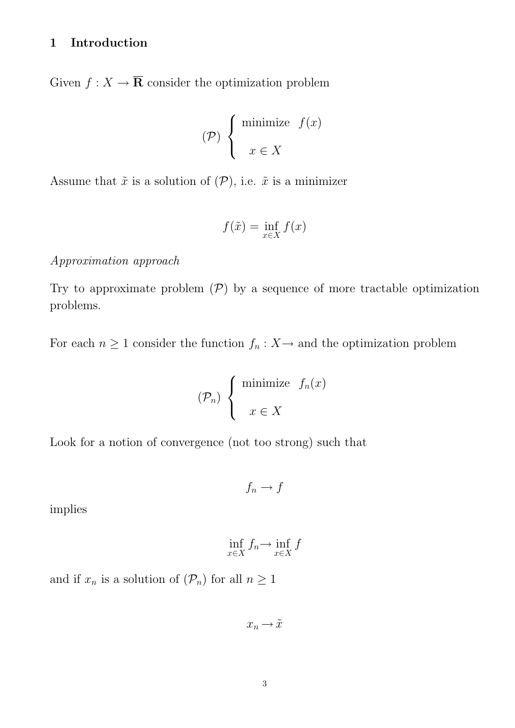# 1 Introduction

Given  $f: X \to \overline{\mathbf{R}}$  consider the optimization problem

$$
(\mathcal{P})\left\{\begin{array}{ll}\text{minimize} & f(x) \\ & x \in X \end{array}\right.
$$

Assume that  $\tilde{x}$  is a solution of  $(\mathcal{P})$ , i.e.  $\tilde{x}$  is a minimizer

$$
f(\tilde{x}) = \inf_{x \in X} f(x)
$$

### Approximation approach

Try to approximate problem  $(\mathcal{P})$  by a sequence of more tractable optimization problems.

For each  $n \geq 1$  consider the function  $f_n : X \to$  and the optimization problem

$$
(\mathcal{P}_n) \left\{ \begin{array}{ll} \text{minimize} & f_n(x) \\ & \\ x \in X \end{array} \right.
$$

Look for a notion of convergence (not too strong) such that

$$
f_n \to f
$$

implies

$$
\inf_{x \in X} f_n \to \inf_{x \in X} f
$$

and if  $x_n$  is a solution of  $(\mathcal{P}_n)$  for all  $n \geq 1$ 

 $x_n \rightarrow \tilde{x}$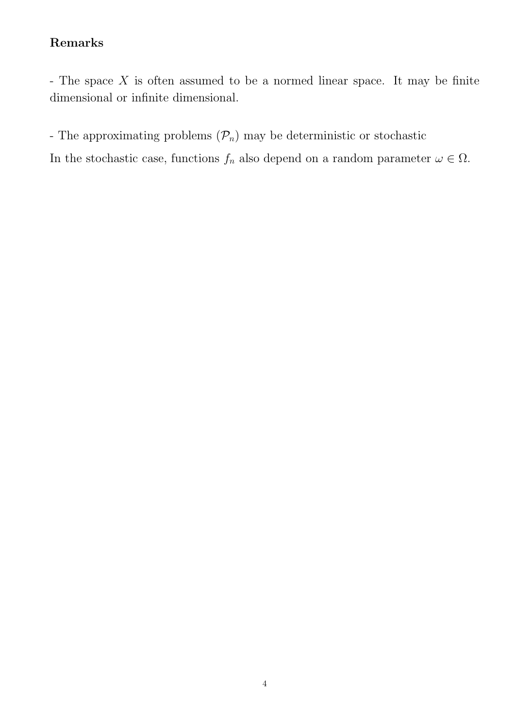# Remarks

- The space  $X$  is often assumed to be a normed linear space. It may be finite dimensional or infinite dimensional.

- The approximating problems  $(\mathcal{P}_n)$  may be deterministic or stochastic

In the stochastic case, functions  $f_n$  also depend on a random parameter  $\omega \in \Omega$ .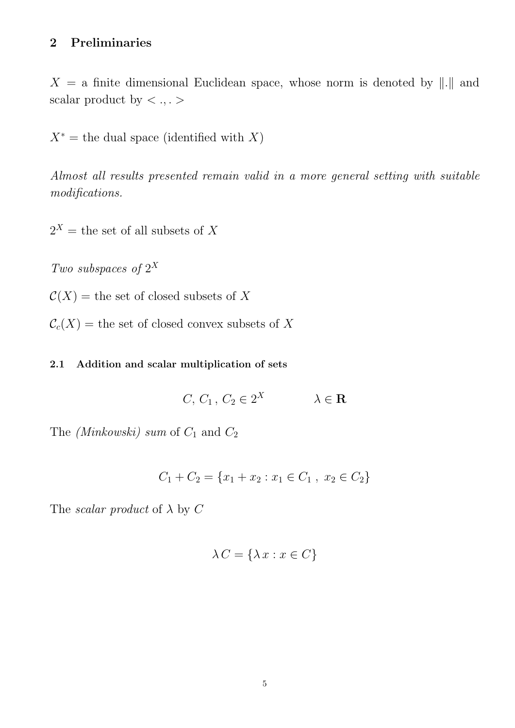# 2 Preliminaries

 $X = a$  finite dimensional Euclidean space, whose norm is denoted by ||.|| and scalar product by  $\langle \,\cdot\, , \cdot\, \rangle$ 

 $X^*$  = the dual space (identified with X)

Almost all results presented remain valid in a more general setting with suitable modifications.

 $2^X$  = the set of all subsets of X

Two subspaces of  $2^X$ 

 $\mathcal{C}(X)$  = the set of closed subsets of X

 $C_c(X)$  = the set of closed convex subsets of X

#### 2.1 Addition and scalar multiplication of sets

$$
C, C_1, C_2 \in 2^X \qquad \lambda \in \mathbf{R}
$$

The (Minkowski) sum of  $C_1$  and  $C_2$ 

$$
C_1 + C_2 = \{x_1 + x_2 : x_1 \in C_1, x_2 \in C_2\}
$$

The *scalar product* of  $\lambda$  by C

$$
\lambda C = \{\lambda x : x \in C\}
$$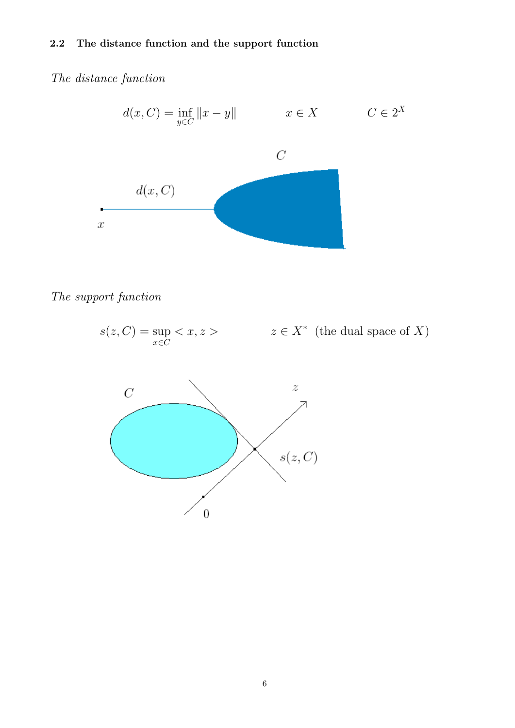#### 2.2 The distance function and the support function

# The distance function



### The support function



 $\boldsymbol{0}$ 

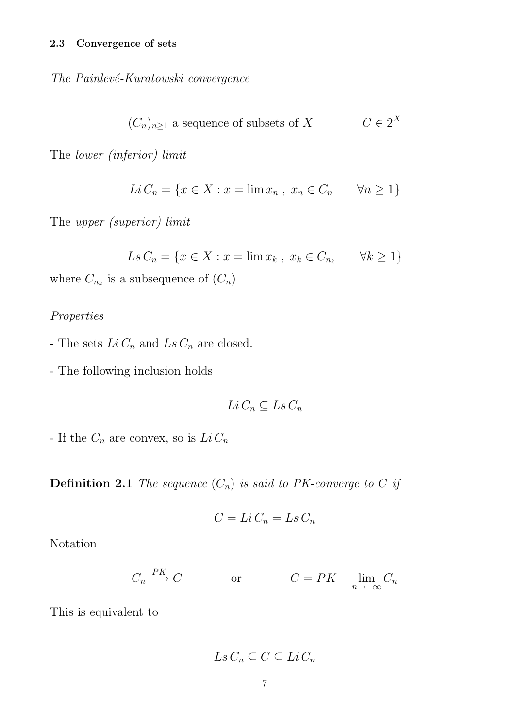The Painlevé-Kuratowski convergence

$$
(C_n)_{n\geq 1}
$$
 a sequence of subsets of X  $C \in 2^X$ 

The lower (inferior) limit

$$
Li C_n = \{ x \in X : x = \lim x_n , x_n \in C_n \quad \forall n \ge 1 \}
$$

The upper (superior) limit

$$
Ls C_n = \{ x \in X : x = \lim x_k , x_k \in C_{n_k} \quad \forall k \ge 1 \}
$$

where  $C_{n_k}$  is a subsequence of  $(C_n)$ 

### Properties

- The sets  $Li\,C_n$  and  $Ls\,C_n$  are closed.
- The following inclusion holds

$$
Li\,C_n \subseteq Ls\,C_n
$$

- If the  $C_n$  are convex, so is  $Li C_n$ 

**Definition 2.1** The sequence  $(C_n)$  is said to PK-converge to C if

$$
C = Li C_n = Ls C_n
$$

Notation

$$
C_n \xrightarrow{PK} C \qquad \text{or} \qquad C = PK - \lim_{n \to +\infty} C_n
$$

This is equivalent to

$$
Ls\,C_n\subseteq C\subseteq Li\,C_n
$$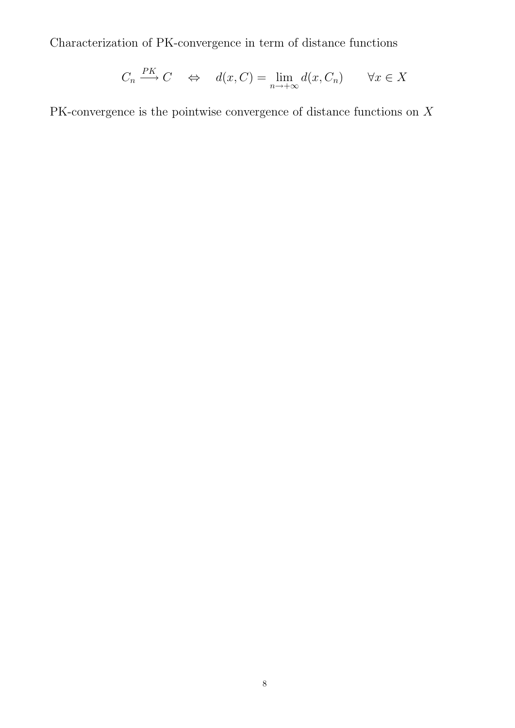Characterization of PK-convergence in term of distance functions

$$
C_n \xrightarrow{PK} C \quad \Leftrightarrow \quad d(x, C) = \lim_{n \to +\infty} d(x, C_n) \qquad \forall x \in X
$$

PK-convergence is the pointwise convergence of distance functions on X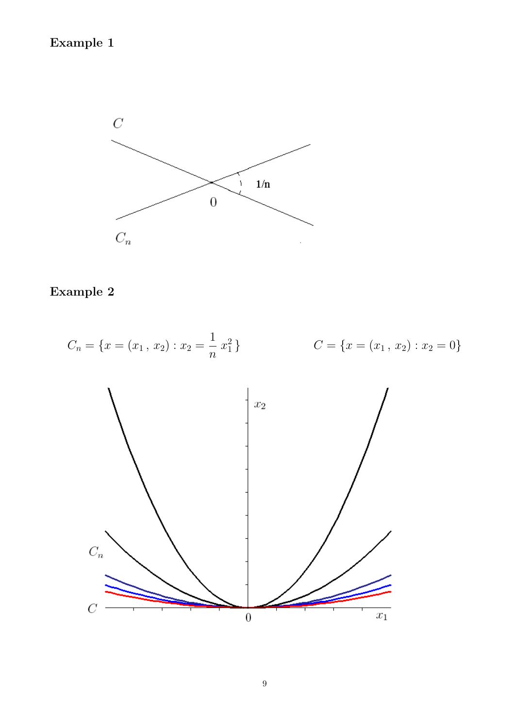# Example 1



# Example 2

$$
C_n = \{x = (x_1, x_2) : x_2 = \frac{1}{n} x_1^2\}
$$
  

$$
C = \{x = (x_1, x_2) : x_2 = 0\}
$$

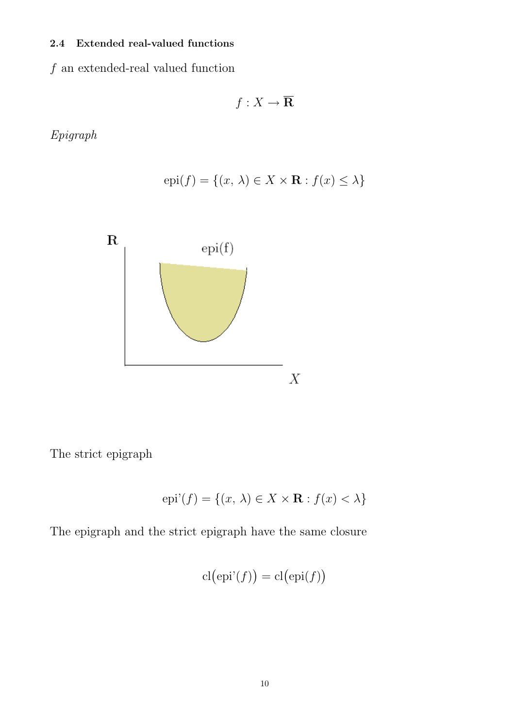### 2.4 Extended real-valued functions

 $\boldsymbol{f}$  an extended-real valued function

$$
f:X\to \overline{\mathbf{R}}
$$

Epigraph

$$
epi(f) = \{(x, \lambda) \in X \times \mathbf{R} : f(x) \le \lambda\}
$$



The strict epigraph

$$
epi'(f) = \{(x, \lambda) \in X \times \mathbf{R} : f(x) < \lambda\}
$$

The epigraph and the strict epigraph have the same closure

$$
cl(\mathrm{epi'}(f)) = cl(\mathrm{epi}(f))
$$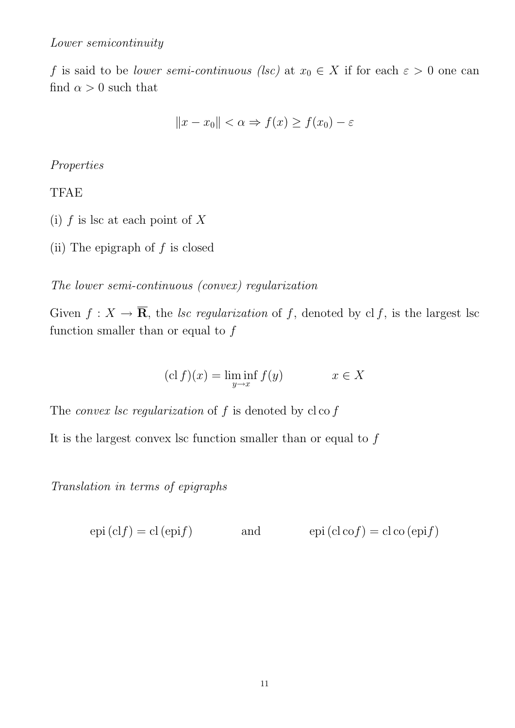f is said to be *lower semi-continuous* (lsc) at  $x_0 \in X$  if for each  $\varepsilon > 0$  one can find  $\alpha > 0$  such that

$$
||x - x_0|| < \alpha \Rightarrow f(x) \ge f(x_0) - \varepsilon
$$

### Properties

### TFAE

- (i)  $f$  is lsc at each point of  $X$
- (ii) The epigraph of  $f$  is closed

The lower semi-continuous (convex) regularization

Given  $f: X \to \overline{\mathbf{R}}$ , the lsc regularization of f, denoted by clf, is the largest lsc function smaller than or equal to  $f$ 

$$
(\operatorname{cl} f)(x) = \liminf_{y \to x} f(y) \qquad x \in X
$$

The *convex lsc regularization* of  $f$  is denoted by  $c \cdot c$ 

It is the largest convex lsc function smaller than or equal to  $f$ 

Translation in terms of epigraphs

 $epi (clf) = cl (epif)$  and  $epi (cl cof) = cl co (epif)$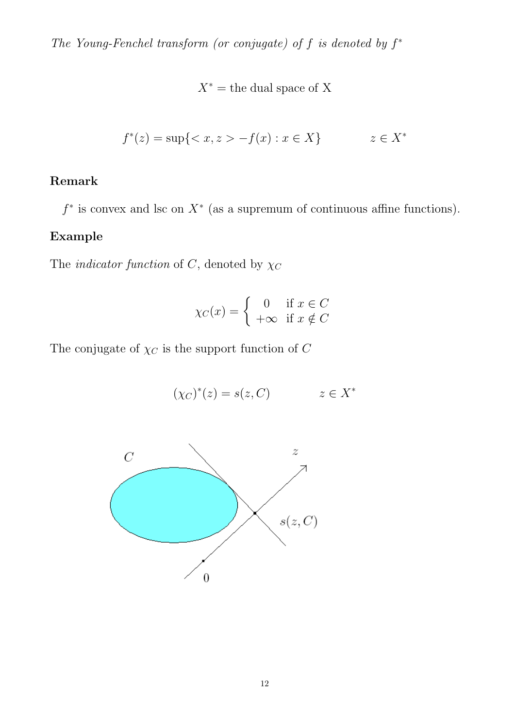The Young-Fenchel transform (or conjugate) of  $f$  is denoted by  $f^*$ 

 $X^*$  = the dual space of X

$$
f^*(z) = \sup\{ \langle x, z \rangle - f(x) : x \in X \} \qquad z \in X^*
$$

# Remark

 $f^*$  is convex and lsc on  $X^*$  (as a supremum of continuous affine functions).

### Example

The *indicator function* of C, denoted by  $\chi_C$ 

$$
\chi_C(x) = \begin{cases} 0 & \text{if } x \in C \\ +\infty & \text{if } x \notin C \end{cases}
$$

The conjugate of  $\chi_C$  is the support function of  $C$ 

 $(\chi_C)^*(z) = s(z, C)$   $z \in X^*$ 

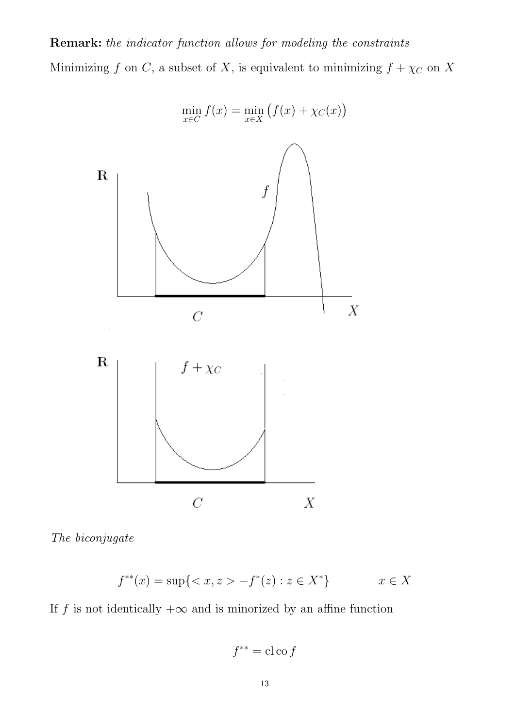# Remark: the indicator function allows for modeling the constraints Minimizing f on C, a subset of X, is equivalent to minimizing  $f + \chi_C$  on X





$$
f^{**}(x) = \sup\{ \langle x, z \rangle - f^*(z) : z \in X^* \} \qquad x \in X
$$

If f is not identically  $+\infty$  and is minorized by an affine function

 $f^{**} = \text{cl}\cos f$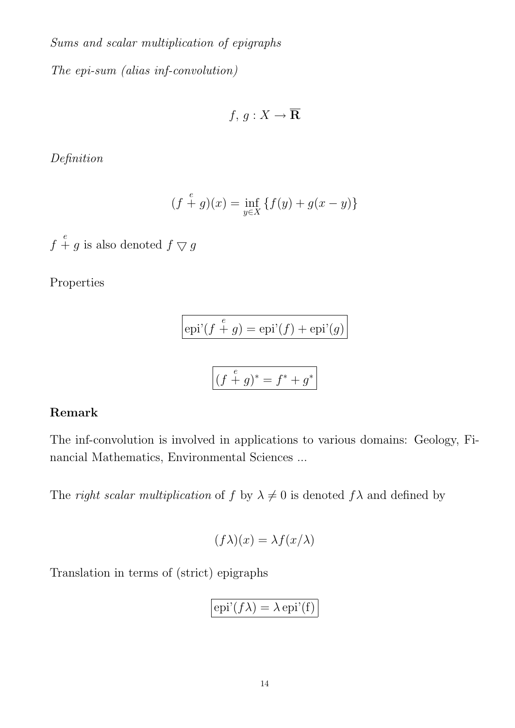Sums and scalar multiplication of epigraphs The epi-sum (alias inf-convolution)

$$
f, g: X \to \overline{\mathbf{R}}
$$

Definition

$$
(f+g)(x) = \inf_{y \in X} \{ f(y) + g(x - y) \}
$$

 $f\stackrel{e}{+}g$  is also denoted  $f\bigtriangledown g$ 

Properties

$$
epi'(f + g) = epi'(f) + epi'(g)
$$

$$
\left| \left( f + g \right)^{*} = f^{*} + g^{*} \right|
$$

# Remark

The inf-convolution is involved in applications to various domains: Geology, Financial Mathematics, Environmental Sciences ...

The right scalar multiplication of f by  $\lambda \neq 0$  is denoted  $f\lambda$  and defined by

$$
(f\lambda)(x) = \lambda f(x/\lambda)
$$

Translation in terms of (strict) epigraphs

$$
\boxed{\mathrm{epi'}(f\lambda) = \lambda \,\mathrm{epi'}(\mathrm{f})}
$$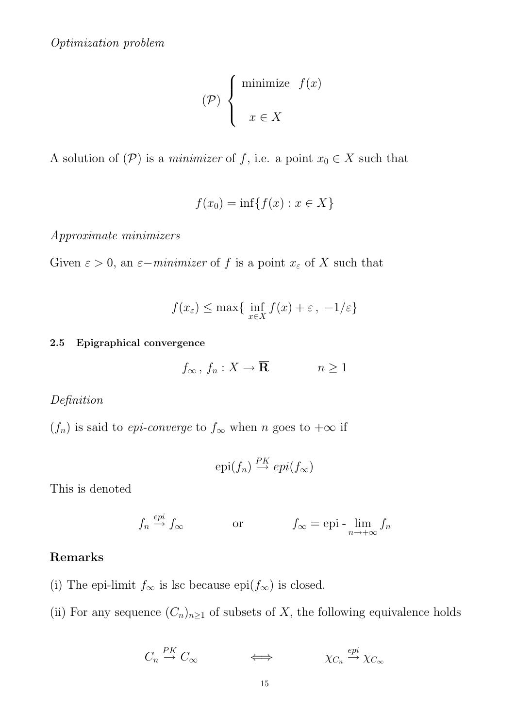$$
(\mathcal{P})\n\begin{cases}\n\text{minimize } f(x) \\
x \in X\n\end{cases}
$$

A solution of  $(\mathcal{P})$  is a *minimizer* of f, i.e. a point  $x_0 \in X$  such that

$$
f(x_0) = \inf\{f(x) : x \in X\}
$$

Approximate minimizers

Given  $\varepsilon > 0$ , an  $\varepsilon - \text{minimizer of } f$  is a point  $x_{\varepsilon}$  of X such that

$$
f(x_{\varepsilon}) \le \max\{\inf_{x \in X} f(x) + \varepsilon, -1/\varepsilon\}
$$

#### 2.5 Epigraphical convergence

$$
f_{\infty}, f_n: X \to \overline{\mathbf{R}} \qquad n \ge 1
$$

# Definition

 $(f_n)$  is said to *epi-converge* to  $f_\infty$  when n goes to  $+\infty$  if

$$
epi(f_n) \stackrel{PK}{\rightarrow} epi(f_{\infty})
$$

This is denoted

$$
f_n \stackrel{epi}{\rightarrow} f_\infty
$$
 or  $f_\infty = \text{epi} - \lim_{n \to +\infty} f_n$ 

# Remarks

(i) The epi-limit  $f_{\infty}$  is lsc because epi $(f_{\infty})$  is closed.

(ii) For any sequence  $(C_n)_{n\geq 1}$  of subsets of X, the following equivalence holds

$$
C_n \stackrel{PK}{\to} C_{\infty} \qquad \qquad \Longleftrightarrow \qquad \qquad \chi_{C_n} \stackrel{epi}{\to} \chi_{C_{\infty}}
$$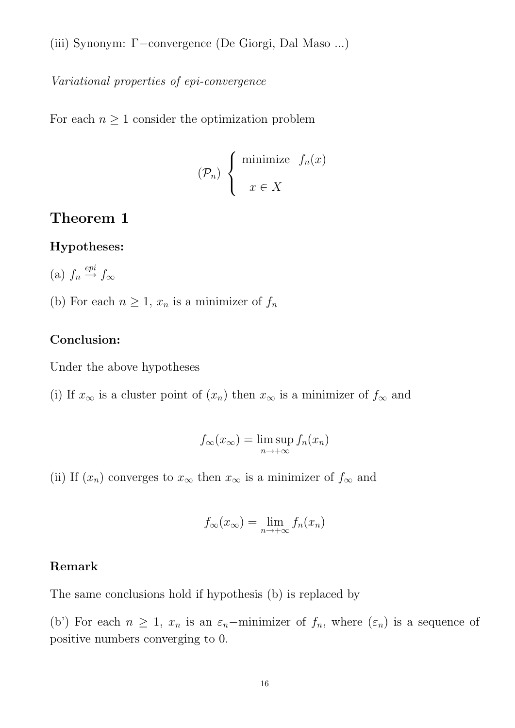(iii) Synonym: Γ−convergence (De Giorgi, Dal Maso ...)

Variational properties of epi-convergence

For each  $n \geq 1$  consider the optimization problem

$$
(\mathcal{P}_n) \left\{ \begin{array}{ll} \text{minimize} & f_n(x) \\ & \\ x \in X \end{array} \right.
$$

# Theorem 1

#### Hypotheses:

(a) 
$$
f_n \stackrel{epi}{\rightarrow} f_\infty
$$

(b) For each  $n \geq 1$ ,  $x_n$  is a minimizer of  $f_n$ 

### Conclusion:

Under the above hypotheses

(i) If  $x_{\infty}$  is a cluster point of  $(x_n)$  then  $x_{\infty}$  is a minimizer of  $f_{\infty}$  and

$$
f_{\infty}(x_{\infty}) = \limsup_{n \to +\infty} f_n(x_n)
$$

(ii) If  $(x_n)$  converges to  $x_\infty$  then  $x_\infty$  is a minimizer of  $f_\infty$  and

$$
f_{\infty}(x_{\infty}) = \lim_{n \to +\infty} f_n(x_n)
$$

## Remark

The same conclusions hold if hypothesis (b) is replaced by

(b') For each  $n \geq 1$ ,  $x_n$  is an  $\varepsilon_n$ -minimizer of  $f_n$ , where  $(\varepsilon_n)$  is a sequence of positive numbers converging to 0.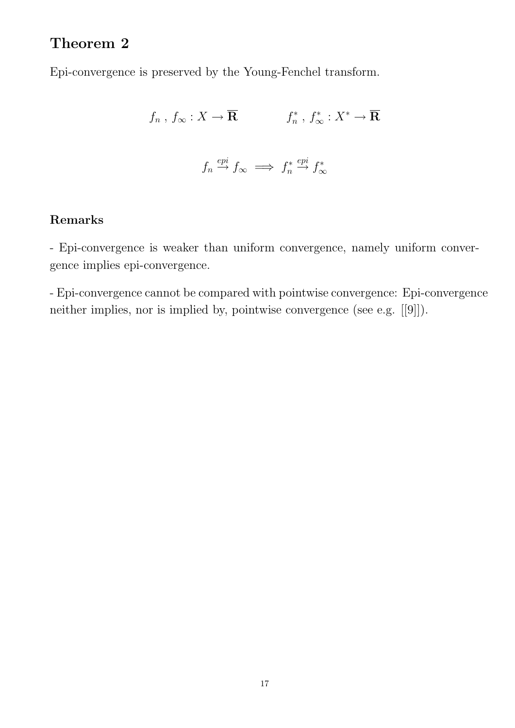# Theorem 2

Epi-convergence is preserved by the Young-Fenchel transform.

$$
f_n, f_{\infty}: X \to \overline{\mathbf{R}}
$$
  $f_n^*, f_{\infty}^*: X^* \to \overline{\mathbf{R}}$   
 $f_n \xrightarrow{epi} f_{\infty} \implies f_n^* \xrightarrow{epi} f_{\infty}^*$ 

# Remarks

- Epi-convergence is weaker than uniform convergence, namely uniform convergence implies epi-convergence.

- Epi-convergence cannot be compared with pointwise convergence: Epi-convergence neither implies, nor is implied by, pointwise convergence (see e.g. [[9]]).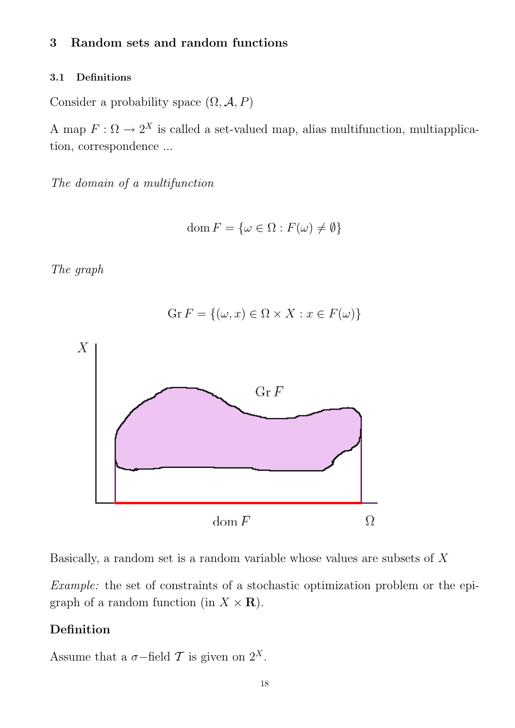### 3 Random sets and random functions

#### 3.1 Definitions

Consider a probability space  $(\Omega, \mathcal{A}, P)$ 

A map  $F: \Omega \to 2^X$  is called a set-valued map, alias multifunction, multiapplication, correspondence ...

The domain of a multifunction

$$
\text{dom}\, F = \{\omega \in \Omega : F(\omega) \neq \emptyset\}
$$

The graph



Basically, a random set is a random variable whose values are subsets of  $X$ 

Example: the set of constraints of a stochastic optimization problem or the epigraph of a random function (in  $X \times \mathbf{R}$ ).

# Definition

Assume that a  $\sigma$ -field T is given on  $2^X$ .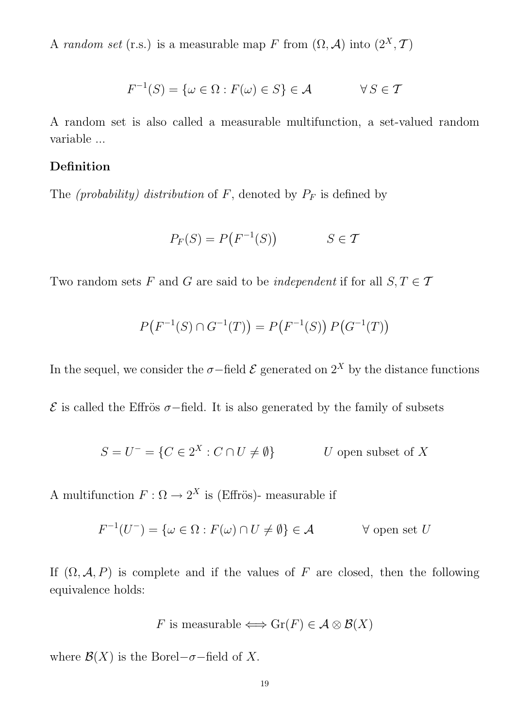A random set (r.s.) is a measurable map F from  $(\Omega, \mathcal{A})$  into  $(2^X, \mathcal{T})$ 

$$
F^{-1}(S) = \{ \omega \in \Omega : F(\omega) \in S \} \in \mathcal{A} \qquad \forall S \in \mathcal{T}
$$

A random set is also called a measurable multifunction, a set-valued random variable ...

### Definition

The *(probability)* distribution of F, denoted by  $P_F$  is defined by

$$
P_F(S) = P\big(F^{-1}(S)\big) \qquad S \in \mathcal{T}
$$

Two random sets F and G are said to be *independent* if for all  $S, T \in \mathcal{T}$ 

$$
P(F^{-1}(S) \cap G^{-1}(T)) = P(F^{-1}(S)) P(G^{-1}(T))
$$

In the sequel, we consider the  $\sigma$ -field  $\mathcal E$  generated on  $2^X$  by the distance functions

 $E$  is called the Effrös σ−field. It is also generated by the family of subsets

$$
S = U^- = \{ C \in 2^X : C \cap U \neq \emptyset \}
$$
 U open subset of X

A multifunction  $F: \Omega \to 2^X$  is (Effrös)- measurable if

$$
F^{-1}(U^-) = \{ \omega \in \Omega : F(\omega) \cap U \neq \emptyset \} \in \mathcal{A} \qquad \forall \text{ open set } U
$$

If  $(\Omega, \mathcal{A}, P)$  is complete and if the values of F are closed, then the following equivalence holds:

F is measurable 
$$
\iff
$$
 Gr(F)  $\in \mathcal{A} \otimes \mathcal{B}(X)$ 

where  $\mathcal{B}(X)$  is the Borel– $\sigma$ –field of X.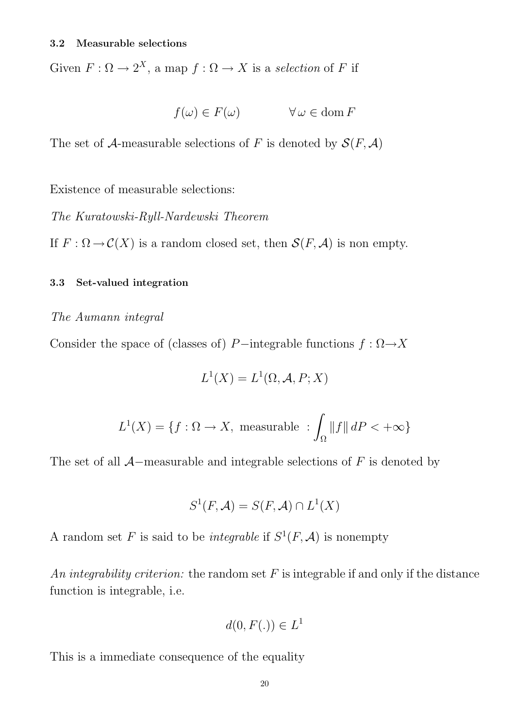Given  $F: \Omega \to 2^X$ , a map  $f: \Omega \to X$  is a selection of F if

$$
f(\omega) \in F(\omega) \qquad \forall \,\omega \in \text{dom}\, F
$$

The set of A-measurable selections of F is denoted by  $\mathcal{S}(F, \mathcal{A})$ 

Existence of measurable selections:

The Kuratowski-Ryll-Nardewski Theorem

If  $F: \Omega \to C(X)$  is a random closed set, then  $\mathcal{S}(F, \mathcal{A})$  is non empty.

#### 3.3 Set-valued integration

#### The Aumann integral

Consider the space of (classes of) P−integrable functions  $f : \Omega \rightarrow X$ 

$$
L^1(X) = L^1(\Omega, \mathcal{A}, P; X)
$$

$$
L^{1}(X) = \{ f : \Omega \to X, \text{ measurable} : \int_{\Omega} ||f|| \, dP < +\infty \}
$$

The set of all  $A$ –measurable and integrable selections of F is denoted by

$$
S^1(F, \mathcal{A}) = S(F, \mathcal{A}) \cap L^1(X)
$$

A random set F is said to be *integrable* if  $S^1(F, \mathcal{A})$  is nonempty

An integrability criterion: the random set  $F$  is integrable if and only if the distance function is integrable, i.e.

$$
d(0, F(.)) \in L^1
$$

This is a immediate consequence of the equality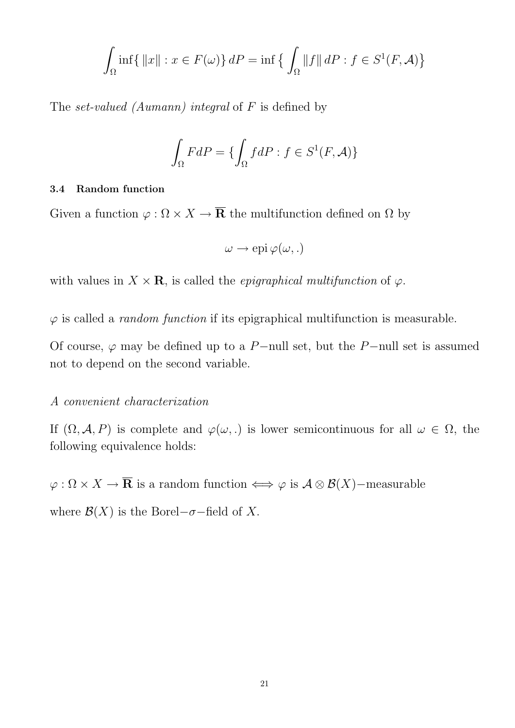$$
\int_{\Omega} \inf \{ ||x|| : x \in F(\omega) \} dP = \inf \{ \int_{\Omega} ||f|| dP : f \in S^1(F, \mathcal{A}) \}
$$

The set-valued (Aumann) integral of  $F$  is defined by

$$
\int_{\Omega} FdP = \{ \int_{\Omega} f dP : f \in S^1(F, \mathcal{A}) \}
$$

#### 3.4 Random function

Given a function  $\varphi : \Omega \times X \to \overline{\mathbf{R}}$  the multifunction defined on  $\Omega$  by

$$
\omega \to \text{epi }\varphi(\omega, .)
$$

with values in  $X \times \mathbf{R}$ , is called the *epigraphical multifunction* of  $\varphi$ .

 $\varphi$  is called a *random function* if its epigraphical multifunction is measurable.

Of course,  $\varphi$  may be defined up to a P−null set, but the P−null set is assumed not to depend on the second variable.

#### A convenient characterization

If  $(\Omega, \mathcal{A}, P)$  is complete and  $\varphi(\omega, \cdot)$  is lower semicontinuous for all  $\omega \in \Omega$ , the following equivalence holds:

 $\varphi : \Omega \times X \to \overline{\mathbf{R}}$  is a random function  $\iff \varphi$  is  $\mathcal{A} \otimes \mathcal{B}(X)$ –measurable

where  $\mathcal{B}(X)$  is the Borel– $\sigma$ –field of X.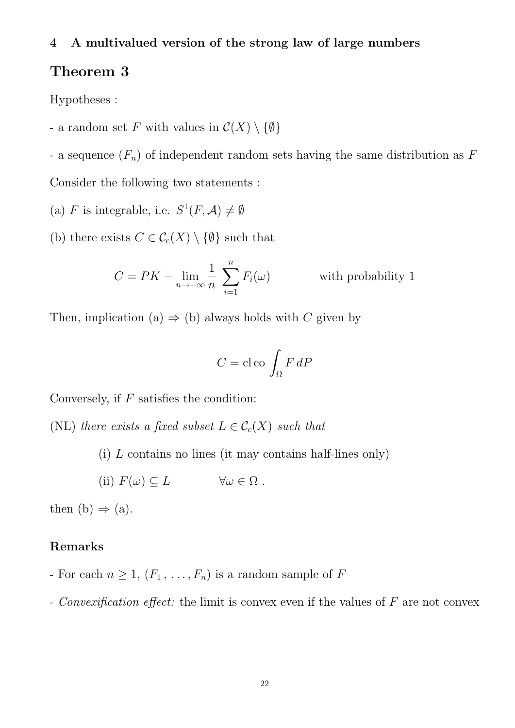4 A multivalued version of the strong law of large numbers

# Theorem 3

Hypotheses :

- a random set F with values in  $C(X) \setminus \{\emptyset\}$ 

- a sequence  $(F_n)$  of independent random sets having the same distribution as F Consider the following two statements :

- (a) F is integrable, i.e.  $S^1(F, A) \neq \emptyset$
- (b) there exists  $C \in \mathcal{C}_c(X) \setminus \{\emptyset\}$  such that

$$
C = PK - \lim_{n \to +\infty} \frac{1}{n} \sum_{i=1}^{n} F_i(\omega)
$$
 with probability 1

Then, implication (a)  $\Rightarrow$  (b) always holds with C given by

$$
C = \text{cloc}\int_{\Omega} F \, dP
$$

Conversely, if  $F$  satisfies the condition:

(NL) there exists a fixed subset  $L \in \mathcal{C}_c(X)$  such that

(i) L contains no lines (it may contains half-lines only)

(ii)  $F(\omega) \subseteq L$   $\forall \omega \in \Omega$ .

then  $(b) \Rightarrow (a)$ .

### Remarks

- For each  $n \geq 1$ ,  $(F_1, \ldots, F_n)$  is a random sample of F
- Convexification effect: the limit is convex even if the values of  $F$  are not convex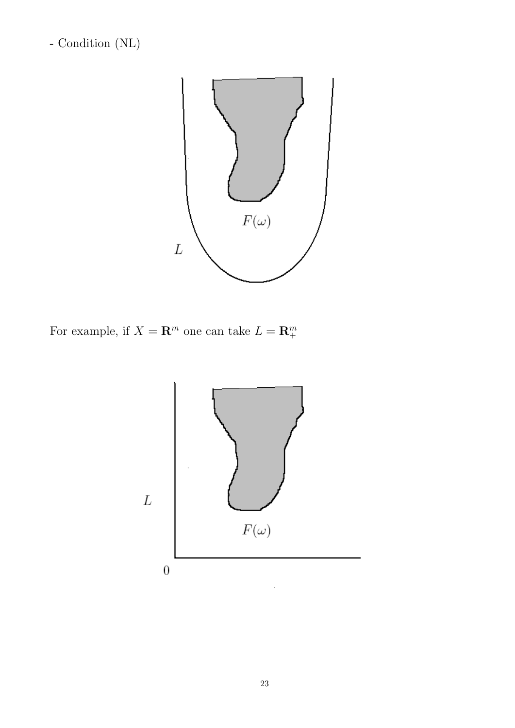- Condition (NL)



For example, if  $X = \mathbb{R}^m$  one can take  $L = \mathbb{R}^m_+$ 

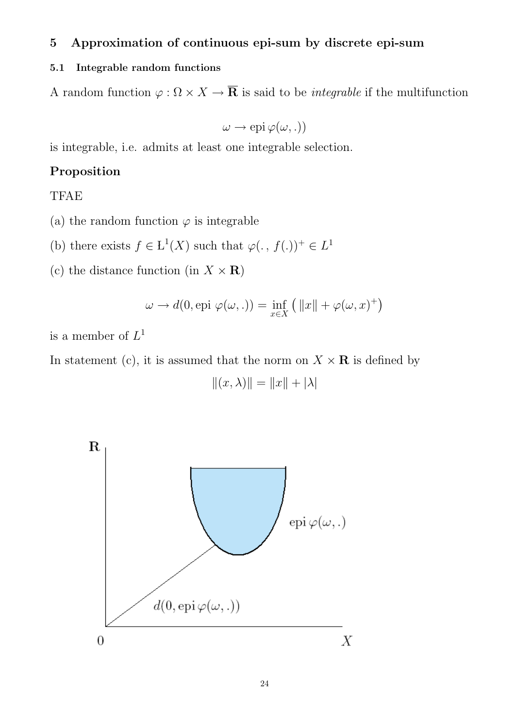# 5 Approximation of continuous epi-sum by discrete epi-sum

#### 5.1 Integrable random functions

A random function  $\varphi : \Omega \times X \to \overline{\mathbf{R}}$  is said to be *integrable* if the multifunction

 $\omega \to epi \, \varphi(\omega, .)$ 

is integrable, i.e. admits at least one integrable selection.

# Proposition

TFAE

- (a) the random function  $\varphi$  is integrable
- (b) there exists  $f \in L^1(X)$  such that  $\varphi(., f(.))^+ \in L^1$
- (c) the distance function (in  $X \times \mathbf{R}$ )

$$
\omega \to d(0, \text{epi }\varphi(\omega,.)) = \inf_{x \in X} (||x|| + \varphi(\omega, x)^+)
$$

is a member of  $L^1$ 

In statement (c), it is assumed that the norm on  $X \times \mathbf{R}$  is defined by

$$
||(x,\lambda)|| = ||x|| + |\lambda|
$$

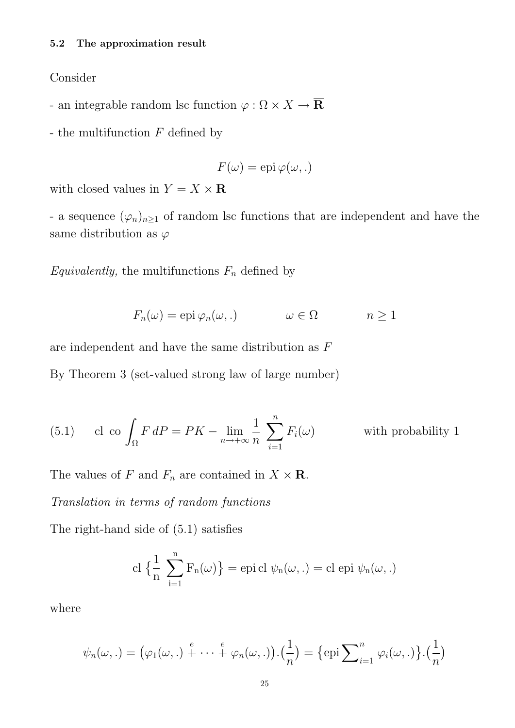#### Consider

- an integrable random lsc function  $\varphi:\Omega\times X\rightarrow \overline{\mathbf{R}}$
- the multifunction  $F$  defined by

$$
F(\omega) = \text{epi }\varphi(\omega, .)
$$

with closed values in  $Y = X \times \mathbf{R}$ 

- a sequence  $(\varphi_n)_{n\geq 1}$  of random lsc functions that are independent and have the same distribution as  $\varphi$ 

Equivalently, the multifunctions  $F_n$  defined by

$$
F_n(\omega) = \text{epi }\varphi_n(\omega,.) \qquad \omega \in \Omega \qquad n \ge 1
$$

are independent and have the same distribution as F

By Theorem 3 (set-valued strong law of large number)

(5.1) cl co 
$$
\int_{\Omega} F dP = PK - \lim_{n \to +\infty} \frac{1}{n} \sum_{i=1}^{n} F_i(\omega)
$$
 with probability 1

The values of F and  $F_n$  are contained in  $X \times \mathbf{R}$ .

Translation in terms of random functions

The right-hand side of (5.1) satisfies

$$
\mathrm{cl}\;\{\frac{1}{n}\;\sum_{i=1}^n F_n(\omega)\}=\mathrm{epi}\,\mathrm{cl}\;\psi_n(\omega,.)=\mathrm{cl}\;\mathrm{epi}\;\psi_n(\omega,.)
$$

where

$$
\psi_n(\omega,.) = (\varphi_1(\omega,.)+\cdots+\varphi_n(\omega,.)).(\frac{1}{n}) = {\text{epi}\sum}_{i=1}^n \varphi_i(\omega,.)}.(\frac{1}{n})
$$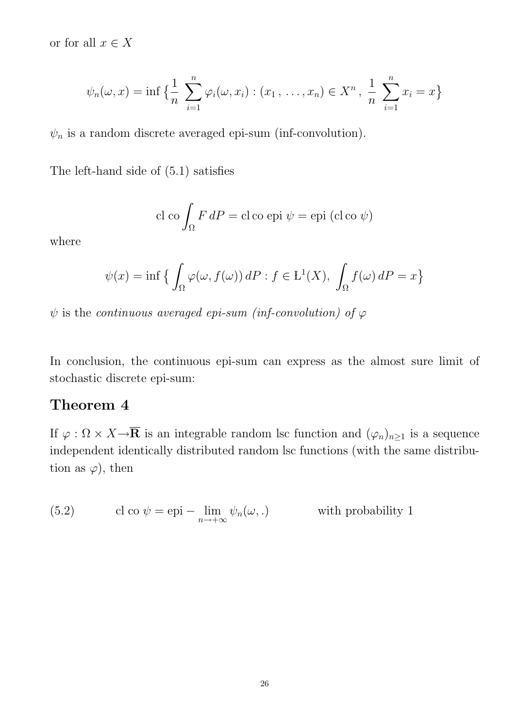or for all  $x \in X$ 

$$
\psi_n(\omega, x) = \inf \left\{ \frac{1}{n} \sum_{i=1}^n \varphi_i(\omega, x_i) : (x_1, \dots, x_n) \in X^n, \frac{1}{n} \sum_{i=1}^n x_i = x \right\}
$$

 $\psi_n$  is a random discrete averaged epi-sum (inf-convolution).

The left-hand side of (5.1) satisfies

cl co
$$
\int_{\Omega} F dP = \text{cl co epi } \psi = \text{epi } (\text{cl co } \psi)
$$

where

$$
\psi(x) = \inf \left\{ \int_{\Omega} \varphi(\omega, f(\omega)) \, dP : f \in L^1(X), \int_{\Omega} f(\omega) \, dP = x \right\}
$$

 $\psi$  is the *continuous averaged epi-sum (inf-convolution) of*  $\varphi$ 

In conclusion, the continuous epi-sum can express as the almost sure limit of stochastic discrete epi-sum:

# Theorem 4

If  $\varphi : \Omega \times X \to \overline{\mathbf{R}}$  is an integrable random lsc function and  $(\varphi_n)_{n \geq 1}$  is a sequence independent identically distributed random lsc functions (with the same distribution as  $\varphi$ , then

(5.2) cl co 
$$
\psi = \text{epi} - \lim_{n \to +\infty} \psi_n(\omega,.)
$$
 with probability 1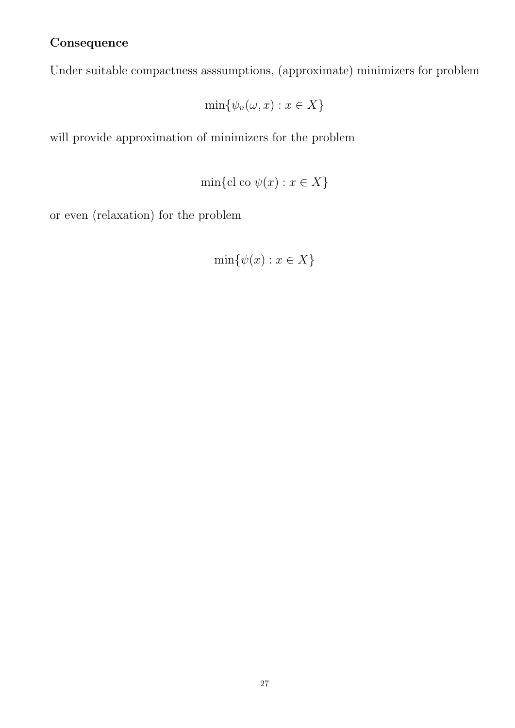# **Consequence**

Under suitable compactness asssumptions, (approximate) minimizers for problem

$$
\min\{\psi_n(\omega, x) : x \in X\}
$$

will provide approximation of minimizers for the problem

$$
\min\{\mathrm{cl\ co\ } \psi(x) : x \in X\}
$$

or even (relaxation) for the problem

$$
\min\{\psi(x) : x \in X\}
$$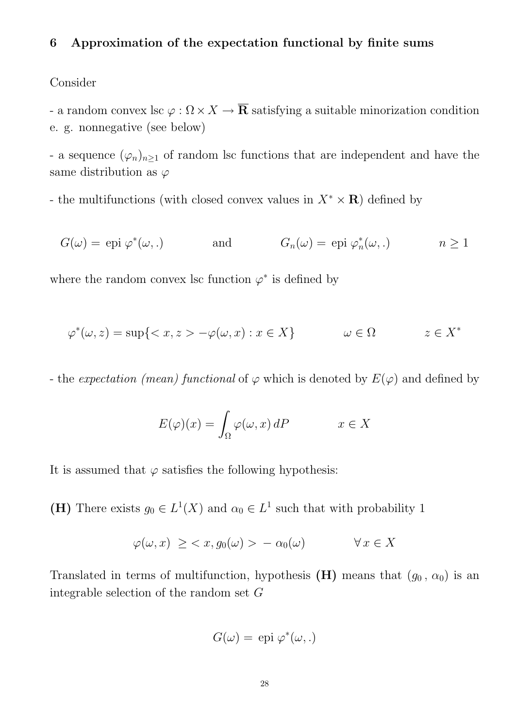# 6 Approximation of the expectation functional by finite sums

#### Consider

- a random convex lsc  $\varphi : \Omega \times X \to \overline{\mathbf{R}}$  satisfying a suitable minorization condition e. g. nonnegative (see below)

- a sequence  $(\varphi_n)_{n\geq 1}$  of random lsc functions that are independent and have the same distribution as  $\varphi$ 

- the multifunctions (with closed convex values in  $X^* \times \mathbf{R}$ ) defined by

$$
G(\omega) = \text{epi }\varphi^*(\omega,.)
$$
 and  $G_n(\omega) = \text{epi }\varphi_n^*(\omega,.)$   $n \ge 1$ 

where the random convex lsc function  $\varphi^*$  is defined by

$$
\varphi^*(\omega, z) = \sup \{ \langle x, z \rangle - \varphi(\omega, x) : x \in X \} \qquad \omega \in \Omega \qquad z \in X^*
$$

- the expectation (mean) functional of  $\varphi$  which is denoted by  $E(\varphi)$  and defined by

$$
E(\varphi)(x) = \int_{\Omega} \varphi(\omega, x) dP \qquad x \in X
$$

It is assumed that  $\varphi$  satisfies the following hypothesis:

(H) There exists  $g_0 \in L^1(X)$  and  $\alpha_0 \in L^1$  such that with probability 1

$$
\varphi(\omega, x) \ge \langle x, g_0(\omega) \rangle - \alpha_0(\omega) \qquad \forall x \in X
$$

Translated in terms of multifunction, hypothesis (H) means that  $(g_0, \alpha_0)$  is an integrable selection of the random set G

$$
G(\omega) = \text{epi }\varphi^*(\omega, .)
$$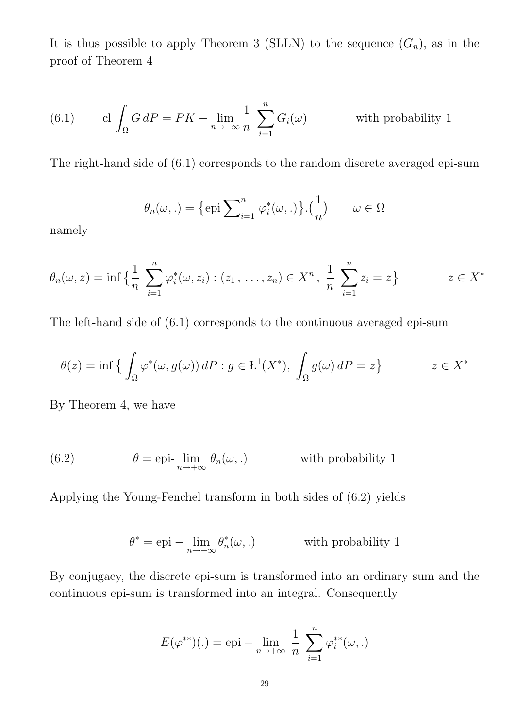It is thus possible to apply Theorem 3 (SLLN) to the sequence  $(G_n)$ , as in the proof of Theorem 4

(6.1) 
$$
\operatorname{cl} \int_{\Omega} G dP = PK - \lim_{n \to +\infty} \frac{1}{n} \sum_{i=1}^{n} G_i(\omega) \qquad \text{with probability 1}
$$

The right-hand side of (6.1) corresponds to the random discrete averaged epi-sum

$$
\theta_n(\omega,.) = \{\text{epi}\sum_{i=1}^n \varphi_i^*(\omega,.)\} . (\frac{1}{n}) \qquad \omega \in \Omega
$$

namely

$$
\theta_n(\omega, z) = \inf \left\{ \frac{1}{n} \sum_{i=1}^n \varphi_i^*(\omega, z_i) : (z_1, \dots, z_n) \in X^n, \frac{1}{n} \sum_{i=1}^n z_i = z \right\} \qquad z \in X^*
$$

The left-hand side of (6.1) corresponds to the continuous averaged epi-sum

$$
\theta(z) = \inf \left\{ \int_{\Omega} \varphi^*(\omega, g(\omega)) \, dP : g \in L^1(X^*), \int_{\Omega} g(\omega) \, dP = z \right\} \qquad z \in X^*
$$

By Theorem 4, we have

(6.2) 
$$
\theta = \text{epi-}\lim_{n \to +\infty} \theta_n(\omega,.) \quad \text{with probability 1}
$$

Applying the Young-Fenchel transform in both sides of (6.2) yields

$$
\theta^* = \text{epi} - \lim_{n \to +\infty} \theta_n^*(\omega,.) \quad \text{with probability 1}
$$

By conjugacy, the discrete epi-sum is transformed into an ordinary sum and the continuous epi-sum is transformed into an integral. Consequently

$$
E(\varphi^{**})(.) = \text{epi} - \lim_{n \to +\infty} \frac{1}{n} \sum_{i=1}^{n} \varphi_i^{**}(\omega, .)
$$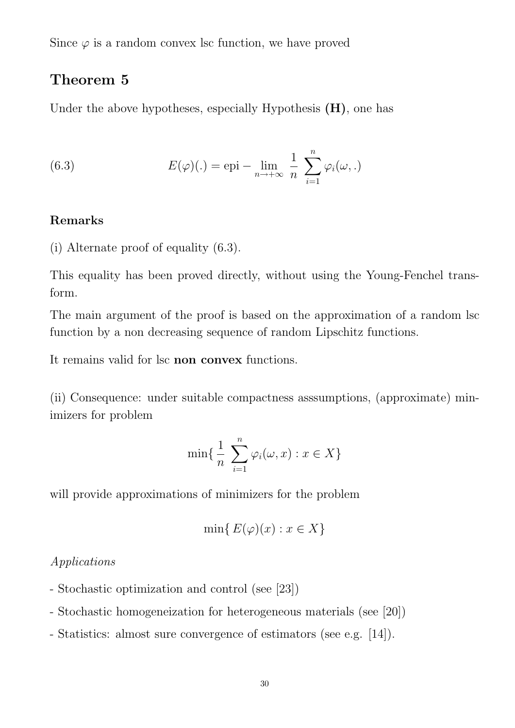Since  $\varphi$  is a random convex lsc function, we have proved

# Theorem 5

Under the above hypotheses, especially Hypothesis  $(H)$ , one has

(6.3) 
$$
E(\varphi)(.) = \text{epi} - \lim_{n \to +\infty} \frac{1}{n} \sum_{i=1}^{n} \varphi_i(\omega, .)
$$

# Remarks

(i) Alternate proof of equality (6.3).

This equality has been proved directly, without using the Young-Fenchel transform.

The main argument of the proof is based on the approximation of a random lsc function by a non decreasing sequence of random Lipschitz functions.

It remains valid for lsc non convex functions.

(ii) Consequence: under suitable compactness asssumptions, (approximate) minimizers for problem

$$
\min\{\frac{1}{n}\sum_{i=1}^n\varphi_i(\omega,x):x\in X\}
$$

will provide approximations of minimizers for the problem

$$
\min\{E(\varphi)(x) : x \in X\}
$$

# Applications

- Stochastic optimization and control (see [23])
- Stochastic homogeneization for heterogeneous materials (see [20])
- Statistics: almost sure convergence of estimators (see e.g. [14]).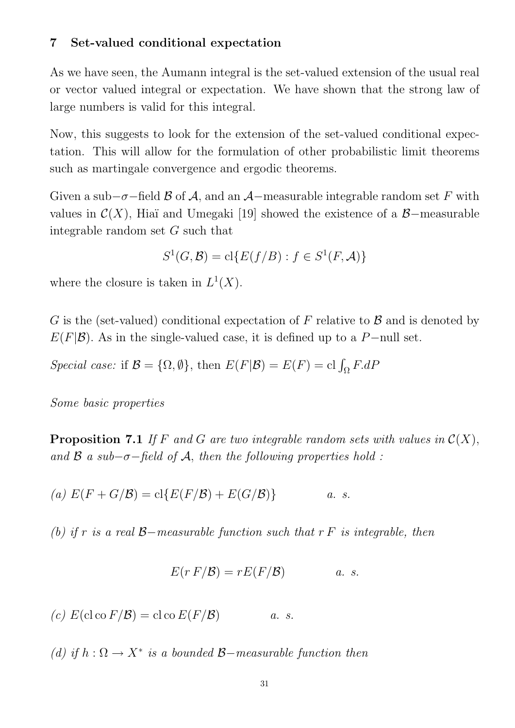# 7 Set-valued conditional expectation

As we have seen, the Aumann integral is the set-valued extension of the usual real or vector valued integral or expectation. We have shown that the strong law of large numbers is valid for this integral.

Now, this suggests to look for the extension of the set-valued conditional expectation. This will allow for the formulation of other probabilistic limit theorems such as martingale convergence and ergodic theorems.

Given a sub– $\sigma$ –field  $\beta$  of  $\mathcal{A}$ , and an  $\mathcal{A}$ –measurable integrable random set F with values in  $\mathcal{C}(X)$ , Hiaï and Umegaki [19] showed the existence of a  $\mathcal{B}-$ measurable integrable random set G such that

$$
S^1(G, \mathcal{B}) = \text{cl}\{E(f/B) : f \in S^1(F, \mathcal{A})\}
$$

where the closure is taken in  $L^1(X)$ .

G is the (set-valued) conditional expectation of F relative to  $\beta$  and is denoted by  $E(F|\mathcal{B})$ . As in the single-valued case, it is defined up to a P−null set.

Special case: if  $\mathcal{B} = {\Omega, \emptyset}$ , then  $E(F|\mathcal{B}) = E(F) = cl \int_{\Omega} F.dF$ 

Some basic properties

**Proposition 7.1** If F and G are two integrable random sets with values in  $\mathcal{C}(X)$ , and  $\beta$  a sub- $\sigma$ -field of A, then the following properties hold :

(a) 
$$
E(F+G/\mathcal{B}) = \text{cl}\{E(F/\mathcal{B}) + E(G/\mathcal{B})\}
$$
 a. s.

(b) if r is a real  $\beta$ -measurable function such that r F is integrable, then

$$
E(r F/\mathcal{B}) = rE(F/\mathcal{B}) \qquad a. s.
$$

(c)  $E(\operatorname{cl} \operatorname{co} F/\mathcal{B}) = \operatorname{cl} \operatorname{co} E(F/\mathcal{B})$  a. s.

(d) if  $h : \Omega \to X^*$  is a bounded  $\mathcal{B}-measurable$  function then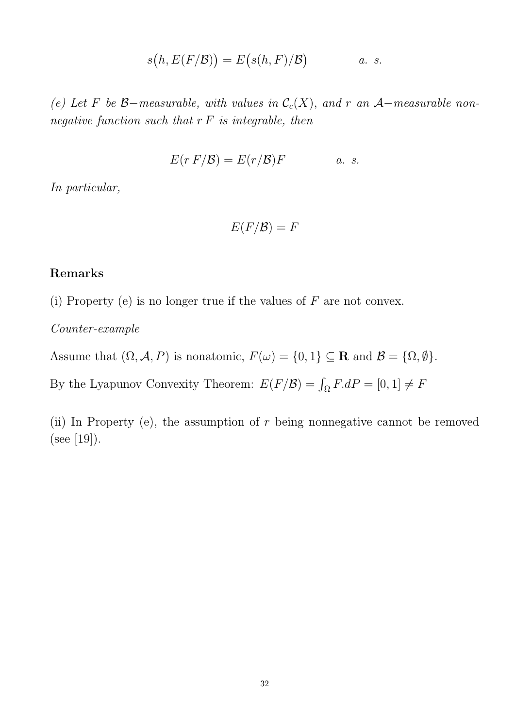$$
s(h, E(F/B)) = E(s(h, F)/B) \qquad a. s.
$$

(e) Let F be B-measurable, with values in  $\mathcal{C}_c(X)$ , and r an A-measurable nonnegative function such that  $r F$  is integrable, then

$$
E(r F/\mathcal{B}) = E(r/\mathcal{B})F \qquad a. s.
$$

In particular,

$$
E(F/{\cal B})=F
$$

### Remarks

(i) Property (e) is no longer true if the values of  $F$  are not convex.

Counter-example

Assume that  $(\Omega, \mathcal{A}, P)$  is nonatomic,  $F(\omega) = \{0, 1\} \subseteq \mathbf{R}$  and  $\mathcal{B} = \{\Omega, \emptyset\}.$ 

By the Lyapunov Convexity Theorem:  $E(F/\mathcal{B}) = \int_{\Omega} F \cdot dP = [0, 1] \neq F$ 

(ii) In Property (e), the assumption of  $r$  being nonnegative cannot be removed  $(see [19]).$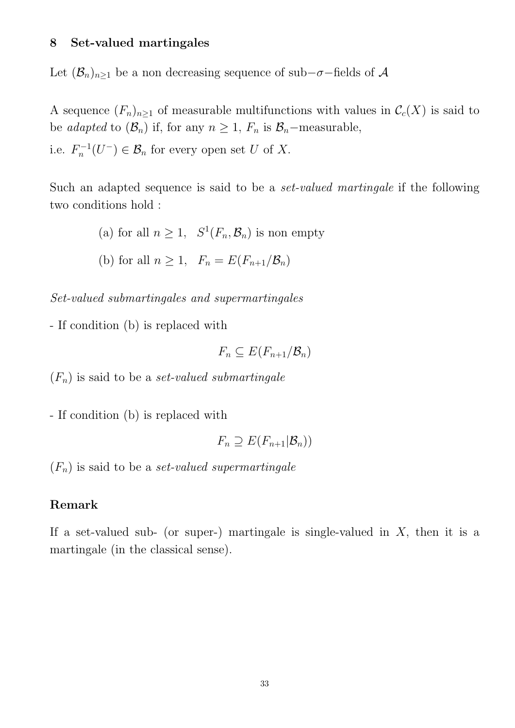### 8 Set-valued martingales

Let  $(\mathcal{B}_n)_{n\geq 1}$  be a non decreasing sequence of sub- $\sigma$ -fields of A

A sequence  $(F_n)_{n\geq 1}$  of measurable multifunctions with values in  $\mathcal{C}_c(X)$  is said to be adapted to  $(\mathcal{B}_n)$  if, for any  $n \geq 1$ ,  $F_n$  is  $\mathcal{B}_n$ -measurable, i.e.  $F_n^{-1}$  $n_n^{-1}(U^-) \in \mathcal{B}_n$  for every open set U of X.

Such an adapted sequence is said to be a set-valued martingale if the following two conditions hold :

> (a) for all  $n \geq 1$ ,  $S^1(F_n, \mathcal{B}_n)$  is non empty (b) for all  $n \geq 1$ ,  $F_n = E(F_{n+1}/\mathcal{B}_n)$

Set-valued submartingales and supermartingales

- If condition (b) is replaced with

$$
F_n\subseteq E(F_{n+1}/\mathcal{B}_n)
$$

 $(F_n)$  is said to be a *set-valued submartingale* 

- If condition (b) is replaced with

$$
F_n \supseteq E(F_{n+1}|\mathcal{B}_n))
$$

 $(F_n)$  is said to be a *set-valued supermartingale* 

# Remark

If a set-valued sub- (or super-) martingale is single-valued in  $X$ , then it is a martingale (in the classical sense).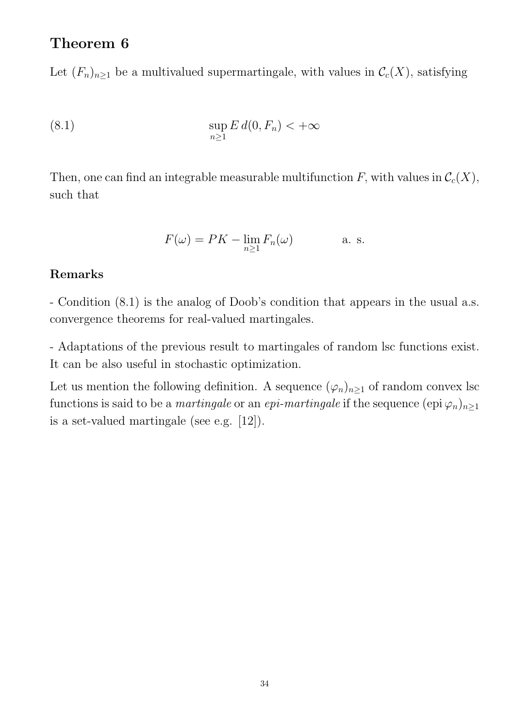# Theorem 6

Let  $(F_n)_{n\geq 1}$  be a multivalued supermartingale, with values in  $\mathcal{C}_c(X)$ , satisfying

$$
\sup_{n\geq 1} E d(0, F_n) < +\infty
$$

Then, one can find an integrable measurable multifunction F, with values in  $\mathcal{C}_c(X)$ , such that

$$
F(\omega) = PK - \lim_{n \ge 1} F_n(\omega) \quad \text{a. s.}
$$

# Remarks

- Condition (8.1) is the analog of Doob's condition that appears in the usual a.s. convergence theorems for real-valued martingales.

- Adaptations of the previous result to martingales of random lsc functions exist. It can be also useful in stochastic optimization.

Let us mention the following definition. A sequence  $(\varphi_n)_{n\geq 1}$  of random convex lsc functions is said to be a *martingale* or an *epi-martingale* if the sequence  $(\text{epi }\varphi_n)_{n\geq 1}$ is a set-valued martingale (see e.g. [12]).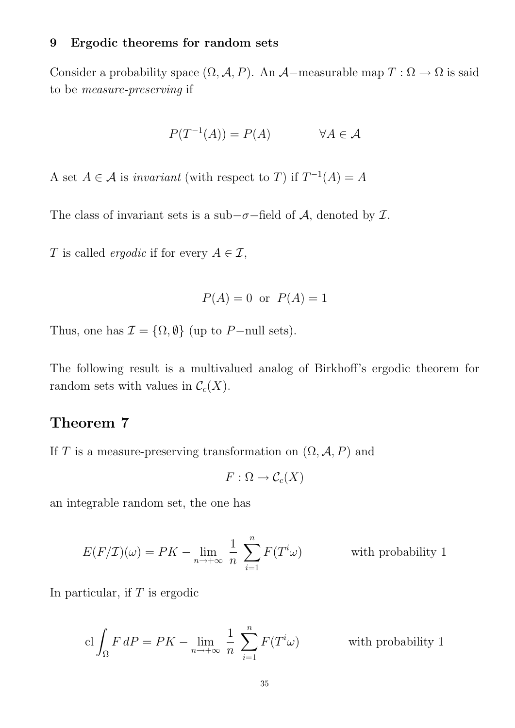#### 9 Ergodic theorems for random sets

Consider a probability space  $(\Omega, \mathcal{A}, P)$ . An  $\mathcal{A}-$ measurable map  $T : \Omega \to \Omega$  is said to be measure-preserving if

$$
P(T^{-1}(A)) = P(A) \qquad \forall A \in \mathcal{A}
$$

A set  $A \in \mathcal{A}$  is invariant (with respect to T) if  $T^{-1}(A) = A$ 

The class of invariant sets is a sub- $\sigma$ -field of A, denoted by  $\mathcal{I}$ .

T is called *ergodic* if for every  $A \in \mathcal{I}$ ,

$$
P(A) = 0 \text{ or } P(A) = 1
$$

Thus, one has  $\mathcal{I} = \{\Omega, \emptyset\}$  (up to P-null sets).

The following result is a multivalued analog of Birkhoff's ergodic theorem for random sets with values in  $C_c(X)$ .

# Theorem 7

If T is a measure-preserving transformation on  $(\Omega, \mathcal{A}, P)$  and

$$
F:\Omega\to \mathcal{C}_c(X)
$$

an integrable random set, the one has

$$
E(F/\mathcal{I})(\omega) = PK - \lim_{n \to +\infty} \frac{1}{n} \sum_{i=1}^{n} F(T^i \omega)
$$
 with probability 1

In particular, if  $T$  is ergodic

$$
\operatorname{cl} \int_{\Omega} F dP = PK - \lim_{n \to +\infty} \frac{1}{n} \sum_{i=1}^{n} F(T^i \omega) \qquad \text{with probability 1}
$$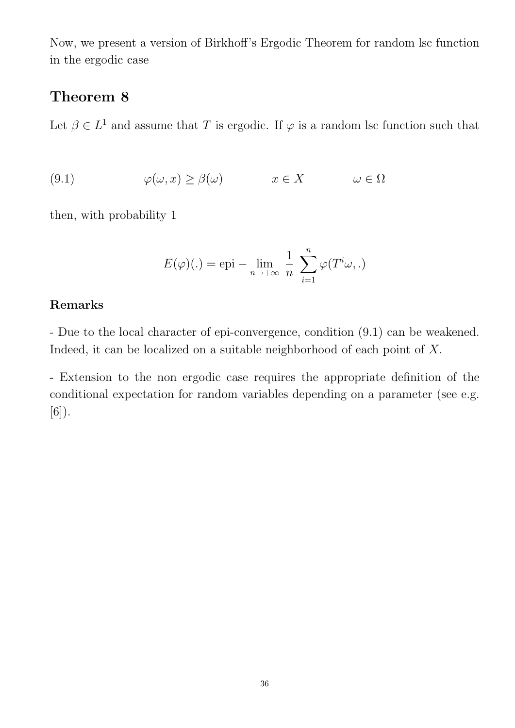Now, we present a version of Birkhoff's Ergodic Theorem for random lsc function in the ergodic case

# Theorem 8

Let  $\beta \in L^1$  and assume that T is ergodic. If  $\varphi$  is a random lsc function such that

(9.1) 
$$
\varphi(\omega, x) \ge \beta(\omega) \qquad x \in X \qquad \omega \in \Omega
$$

then, with probability 1

$$
E(\varphi)(.) = \text{epi} - \lim_{n \to +\infty} \frac{1}{n} \sum_{i=1}^{n} \varphi(T^{i}\omega, .)
$$

# Remarks

- Due to the local character of epi-convergence, condition (9.1) can be weakened. Indeed, it can be localized on a suitable neighborhood of each point of X.

- Extension to the non ergodic case requires the appropriate definition of the conditional expectation for random variables depending on a parameter (see e.g.  $[6]$ .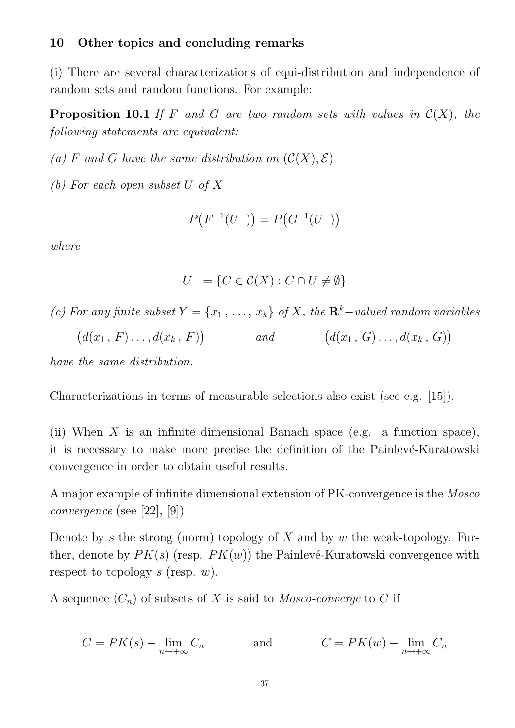#### 10 Other topics and concluding remarks

(i) There are several characterizations of equi-distribution and independence of random sets and random functions. For example:

**Proposition 10.1** If F and G are two random sets with values in  $C(X)$ , the following statements are equivalent:

(a) F and G have the same distribution on  $(C(X), \mathcal{E})$ 

(b) For each open subset U of X

$$
P(F^{-1}(U^-)) = P(G^{-1}(U^-))
$$

where

$$
U^- = \{ C \in \mathcal{C}(X) : C \cap U \neq \emptyset \}
$$

(c) For any finite subset  $Y = \{x_1, \ldots, x_k\}$  of X, the  $\mathbb{R}^k$ -valued random variables  $(d(x_1, F) \ldots, d(x_k, F))$ and  $(d(x_1, G) \ldots, d(x_k, G))$ 

have the same distribution.

Characterizations in terms of measurable selections also exist (see e.g. [15]).

(ii) When X is an infinite dimensional Banach space (e.g. a function space), it is necessary to make more precise the definition of the Painlevé-Kuratowski convergence in order to obtain useful results.

A major example of infinite dimensional extension of PK-convergence is the Mosco convergence (see [22], [9])

Denote by  $s$  the strong (norm) topology of  $X$  and by  $w$  the weak-topology. Further, denote by  $PK(s)$  (resp.  $PK(w)$ ) the Painlevé-Kuratowski convergence with respect to topology s (resp.  $w$ ).

A sequence  $(C_n)$  of subsets of X is said to Mosco-converge to C if

$$
C = PK(s) - \lim_{n \to +\infty} C_n \qquad \text{and} \qquad C = PK(w) - \lim_{n \to +\infty} C_n
$$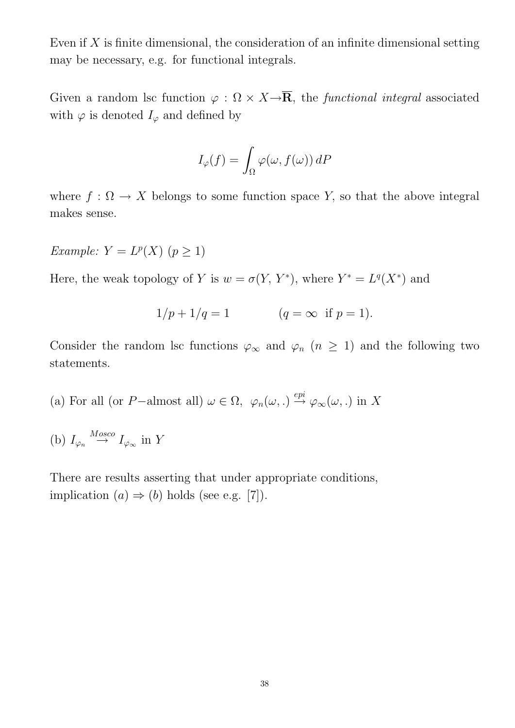Even if  $X$  is finite dimensional, the consideration of an infinite dimensional setting may be necessary, e.g. for functional integrals.

Given a random lsc function  $\varphi : \Omega \times X \rightarrow \overline{\mathbf{R}}$ , the *functional integral* associated with  $\varphi$  is denoted  $I_{\varphi}$  and defined by

$$
I_{\varphi}(f) = \int_{\Omega} \varphi(\omega, f(\omega)) \, dP
$$

where  $f: \Omega \to X$  belongs to some function space Y, so that the above integral makes sense.

Example:  $Y = L^p(X)$   $(p \ge 1)$ 

Here, the weak topology of Y is  $w = \sigma(Y, Y^*)$ , where  $Y^* = L^q(X^*)$  and

$$
1/p + 1/q = 1
$$
  $(q = \infty \text{ if } p = 1).$ 

Consider the random lsc functions  $\varphi_{\infty}$  and  $\varphi_n$  ( $n \geq 1$ ) and the following two statements.

- (a) For all (or P-almost all)  $\omega \in \Omega$ ,  $\varphi_n(\omega) \stackrel{epi}{\rightarrow} \varphi_\infty(\omega)$ , in X
- (b)  $I_{\varphi_n} \stackrel{Mosco}{\rightarrow} I_{\varphi_\infty}$  in Y

There are results asserting that under appropriate conditions, implication  $(a) \Rightarrow (b)$  holds (see e.g. [7]).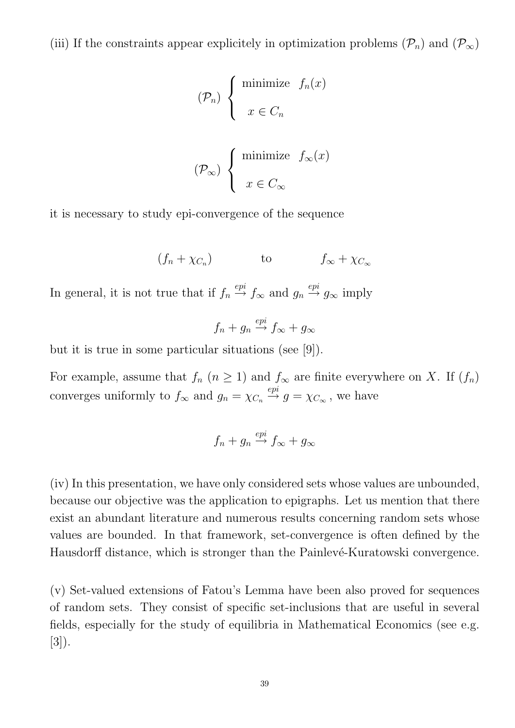(iii) If the constraints appear explicitely in optimization problems  $(\mathcal{P}_n)$  and  $(\mathcal{P}_\infty)$ 

$$
(\mathcal{P}_n) \left\{ \begin{array}{ll}\text{minimize} & f_n(x) \\ & \\ x \in C_n & \\ & \\ (\mathcal{P}_\infty) & \\ & x \in C_\infty \end{array} \right.
$$

it is necessary to study epi-convergence of the sequence

$$
(f_n + \chi_{C_n})
$$
 to  $f_{\infty} + \chi_{C_{\infty}}$ 

In general, it is not true that if  $f_n \stackrel{epi}{\rightarrow} f_\infty$  and  $g_n \stackrel{epi}{\rightarrow} g_\infty$  imply

$$
f_n + g_n \stackrel{epi}{\to} f_\infty + g_\infty
$$

but it is true in some particular situations (see [9]).

For example, assume that  $f_n$   $(n \geq 1)$  and  $f_{\infty}$  are finite everywhere on X. If  $(f_n)$ converges uniformly to  $f_{\infty}$  and  $g_n = \chi_{C_n} \stackrel{epi}{\rightarrow} g = \chi_{C_{\infty}}$ , we have

$$
f_n + g_n \stackrel{epi}{\rightarrow} f_{\infty} + g_{\infty}
$$

(iv) In this presentation, we have only considered sets whose values are unbounded, because our objective was the application to epigraphs. Let us mention that there exist an abundant literature and numerous results concerning random sets whose values are bounded. In that framework, set-convergence is often defined by the Hausdorff distance, which is stronger than the Painlevé-Kuratowski convergence.

(v) Set-valued extensions of Fatou's Lemma have been also proved for sequences of random sets. They consist of specific set-inclusions that are useful in several fields, especially for the study of equilibria in Mathematical Economics (see e.g. [3]).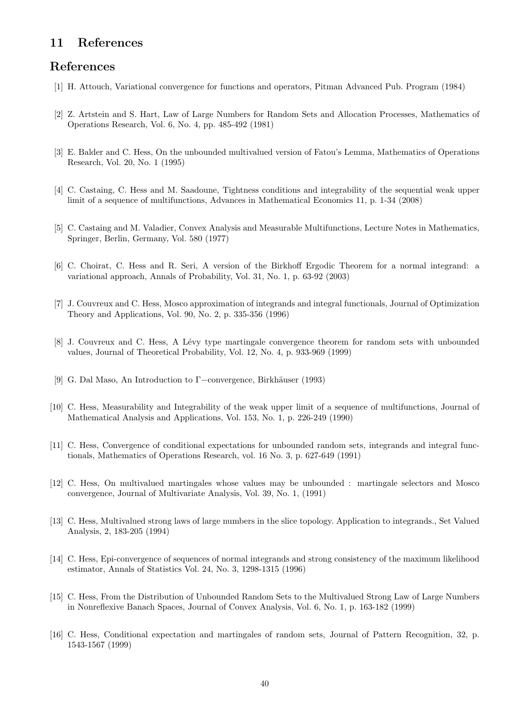#### 11 References

#### References

- [1] H. Attouch, Variational convergence for functions and operators, Pitman Advanced Pub. Program (1984)
- [2] Z. Artstein and S. Hart, Law of Large Numbers for Random Sets and Allocation Processes, Mathematics of Operations Research, Vol. 6, No. 4, pp. 485-492 (1981)
- [3] E. Balder and C. Hess, On the unbounded multivalued version of Fatou's Lemma, Mathematics of Operations Research, Vol. 20, No. 1 (1995)
- [4] C. Castaing, C. Hess and M. Saadoune, Tightness conditions and integrability of the sequential weak upper limit of a sequence of multifunctions, Advances in Mathematical Economics 11, p. 1-34 (2008)
- [5] C. Castaing and M. Valadier, Convex Analysis and Measurable Multifunctions, Lecture Notes in Mathematics, Springer, Berlin, Germany, Vol. 580 (1977)
- [6] C. Choirat, C. Hess and R. Seri, A version of the Birkhoff Ergodic Theorem for a normal integrand: a variational approach, Annals of Probability, Vol. 31, No. 1, p. 63-92 (2003)
- [7] J. Couvreux and C. Hess, Mosco approximation of integrands and integral functionals, Journal of Optimization Theory and Applications, Vol. 90, No. 2, p. 335-356 (1996)
- [8] J. Couvreux and C. Hess, A L´evy type martingale convergence theorem for random sets with unbounded values, Journal of Theoretical Probability, Vol. 12, No. 4, p. 933-969 (1999)
- [9] G. Dal Maso, An Introduction to Γ−convergence, Birkh¨auser (1993)
- [10] C. Hess, Measurability and Integrability of the weak upper limit of a sequence of multifunctions, Journal of Mathematical Analysis and Applications, Vol. 153, No. 1, p. 226-249 (1990)
- [11] C. Hess, Convergence of conditional expectations for unbounded random sets, integrands and integral functionals, Mathematics of Operations Research, vol. 16 No. 3, p. 627-649 (1991)
- [12] C. Hess, On multivalued martingales whose values may be unbounded : martingale selectors and Mosco convergence, Journal of Multivariate Analysis, Vol. 39, No. 1, (1991)
- [13] C. Hess, Multivalued strong laws of large numbers in the slice topology. Application to integrands., Set Valued Analysis, 2, 183-205 (1994)
- [14] C. Hess, Epi-convergence of sequences of normal integrands and strong consistency of the maximum likelihood estimator, Annals of Statistics Vol. 24, No. 3, 1298-1315 (1996)
- [15] C. Hess, From the Distribution of Unbounded Random Sets to the Multivalued Strong Law of Large Numbers in Nonreflexive Banach Spaces, Journal of Convex Analysis, Vol. 6, No. 1, p. 163-182 (1999)
- [16] C. Hess, Conditional expectation and martingales of random sets, Journal of Pattern Recognition, 32, p. 1543-1567 (1999)